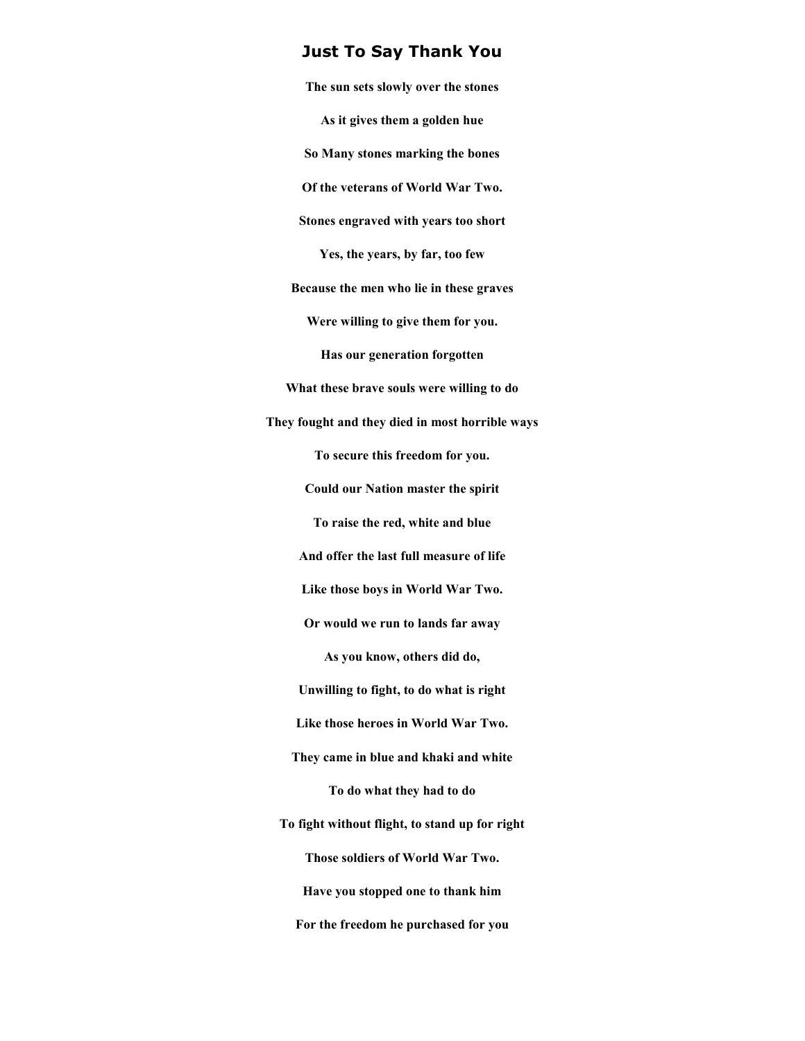## **Just To Say Thank You**

**The sun sets slowly over the stones As it gives them a golden hue So Many stones marking the bones Of the veterans of World War Two. Stones engraved with years too short Yes, the years, by far, too few Because the men who lie in these graves Were willing to give them for you. Has our generation forgotten What these brave souls were willing to do They fought and they died in most horrible ways To secure this freedom for you. Could our Nation master the spirit To raise the red, white and blue And offer the last full measure of life Like those boys in World War Two. Or would we run to lands far away As you know, others did do, Unwilling to fight, to do what is right Like those heroes in World War Two. They came in blue and khaki and white To do what they had to do To fight without flight, to stand up for right Those soldiers of World War Two. Have you stopped one to thank him For the freedom he purchased for you**